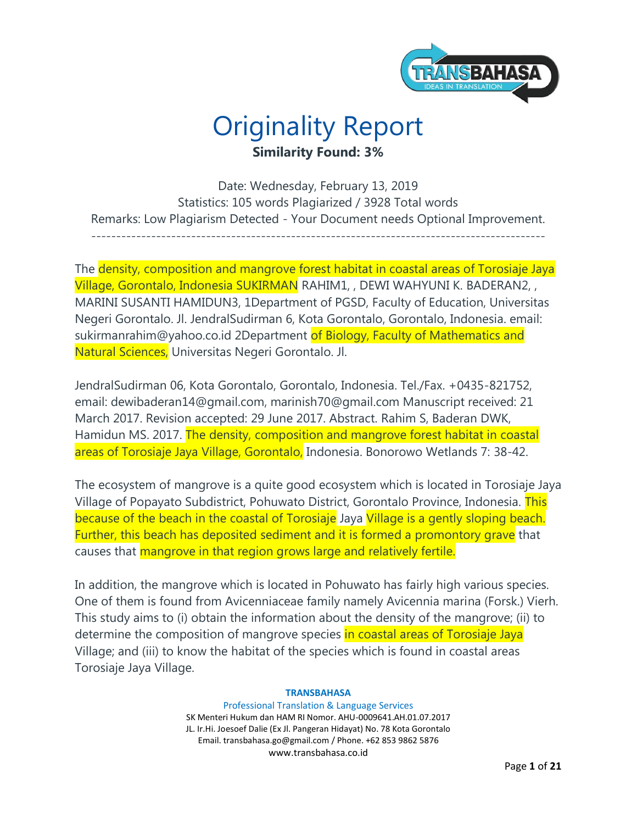

# Originality Report **Similarity Found: 3%**

Date: Wednesday, February 13, 2019 Statistics: 105 words Plagiarized / 3928 Total words Remarks: Low Plagiarism Detected - Your Document needs Optional Improvement. -------------------------------------------------------------------------------------------

The density, composition and mangrove forest habitat in coastal areas of Torosiaje Jaya Village, Gorontalo, Indonesia SUKIRMAN RAHIM1, , DEWI WAHYUNI K. BADERAN2, , MARINI SUSANTI HAMIDUN3, 1Department of PGSD, Faculty of Education, Universitas Negeri Gorontalo. Jl. JendralSudirman 6, Kota Gorontalo, Gorontalo, Indonesia. email: sukirmanrahim@yahoo.co.id 2Department of Biology, Faculty of Mathematics and Natural Sciences, Universitas Negeri Gorontalo. Jl.

JendralSudirman 06, Kota Gorontalo, Gorontalo, Indonesia. Tel./Fax. +0435-821752, email: dewibaderan14@gmail.com, marinish70@gmail.com Manuscript received: 21 March 2017. Revision accepted: 29 June 2017. Abstract. Rahim S, Baderan DWK, Hamidun MS. 2017. The density, composition and mangrove forest habitat in coastal areas of Torosiaje Jaya Village, Gorontalo, Indonesia. Bonorowo Wetlands 7: 38-42.

The ecosystem of mangrove is a quite good ecosystem which is located in Torosiaje Jaya Village of Popayato Subdistrict, Pohuwato District, Gorontalo Province, Indonesia. This because of the beach in the coastal of Torosiaje Jaya Village is a gently sloping beach. Further, this beach has deposited sediment and it is formed a promontory grave that causes that mangrove in that region grows large and relatively fertile.

In addition, the mangrove which is located in Pohuwato has fairly high various species. One of them is found from Avicenniaceae family namely Avicennia marina (Forsk.) Vierh. This study aims to (i) obtain the information about the density of the mangrove; (ii) to determine the composition of mangrove species in coastal areas of Torosiaje Jaya Village; and (iii) to know the habitat of the species which is found in coastal areas Torosiaje Jaya Village.

# **TRANSBAHASA**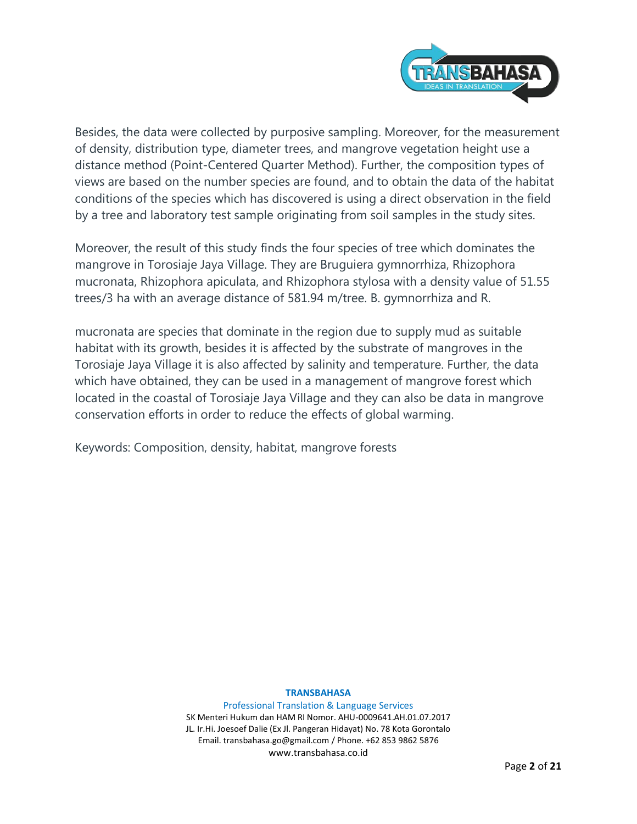

Besides, the data were collected by purposive sampling. Moreover, for the measurement of density, distribution type, diameter trees, and mangrove vegetation height use a distance method (Point-Centered Quarter Method). Further, the composition types of views are based on the number species are found, and to obtain the data of the habitat conditions of the species which has discovered is using a direct observation in the field by a tree and laboratory test sample originating from soil samples in the study sites.

Moreover, the result of this study finds the four species of tree which dominates the mangrove in Torosiaje Jaya Village. They are Bruguiera gymnorrhiza, Rhizophora mucronata, Rhizophora apiculata, and Rhizophora stylosa with a density value of 51.55 trees/3 ha with an average distance of 581.94 m/tree. B. gymnorrhiza and R.

mucronata are species that dominate in the region due to supply mud as suitable habitat with its growth, besides it is affected by the substrate of mangroves in the Torosiaje Jaya Village it is also affected by salinity and temperature. Further, the data which have obtained, they can be used in a management of mangrove forest which located in the coastal of Torosiaje Jaya Village and they can also be data in mangrove conservation efforts in order to reduce the effects of global warming.

Keywords: Composition, density, habitat, mangrove forests

#### **TRANSBAHASA**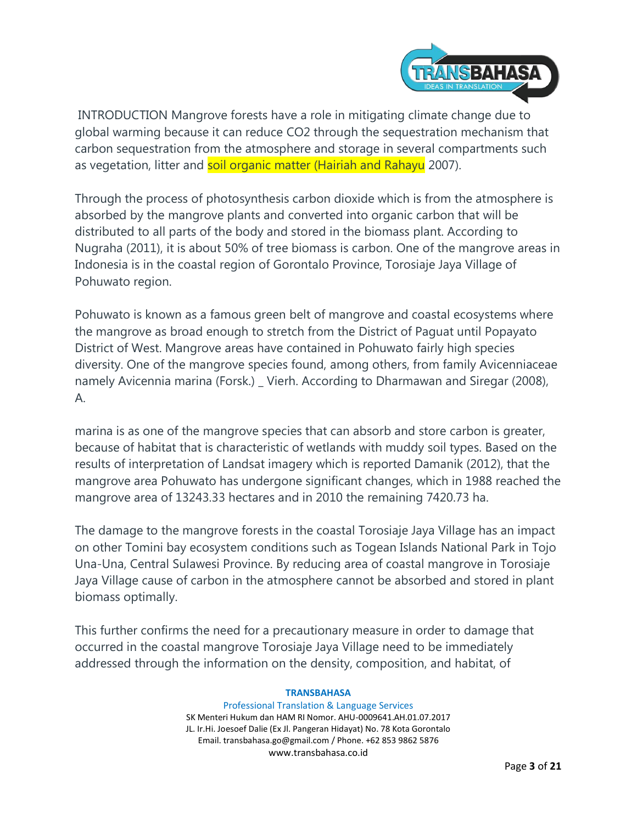

INTRODUCTION Mangrove forests have a role in mitigating climate change due to global warming because it can reduce CO2 through the sequestration mechanism that carbon sequestration from the atmosphere and storage in several compartments such as vegetation, litter and soil organic matter (Hairiah and Rahayu 2007).

Through the process of photosynthesis carbon dioxide which is from the atmosphere is absorbed by the mangrove plants and converted into organic carbon that will be distributed to all parts of the body and stored in the biomass plant. According to Nugraha (2011), it is about 50% of tree biomass is carbon. One of the mangrove areas in Indonesia is in the coastal region of Gorontalo Province, Torosiaje Jaya Village of Pohuwato region.

Pohuwato is known as a famous green belt of mangrove and coastal ecosystems where the mangrove as broad enough to stretch from the District of Paguat until Popayato District of West. Mangrove areas have contained in Pohuwato fairly high species diversity. One of the mangrove species found, among others, from family Avicenniaceae namely Avicennia marina (Forsk.) \_ Vierh. According to Dharmawan and Siregar (2008), A.

marina is as one of the mangrove species that can absorb and store carbon is greater, because of habitat that is characteristic of wetlands with muddy soil types. Based on the results of interpretation of Landsat imagery which is reported Damanik (2012), that the mangrove area Pohuwato has undergone significant changes, which in 1988 reached the mangrove area of 13243.33 hectares and in 2010 the remaining 7420.73 ha.

The damage to the mangrove forests in the coastal Torosiaje Jaya Village has an impact on other Tomini bay ecosystem conditions such as Togean Islands National Park in Tojo Una-Una, Central Sulawesi Province. By reducing area of coastal mangrove in Torosiaje Jaya Village cause of carbon in the atmosphere cannot be absorbed and stored in plant biomass optimally.

This further confirms the need for a precautionary measure in order to damage that occurred in the coastal mangrove Torosiaje Jaya Village need to be immediately addressed through the information on the density, composition, and habitat, of

# **TRANSBAHASA**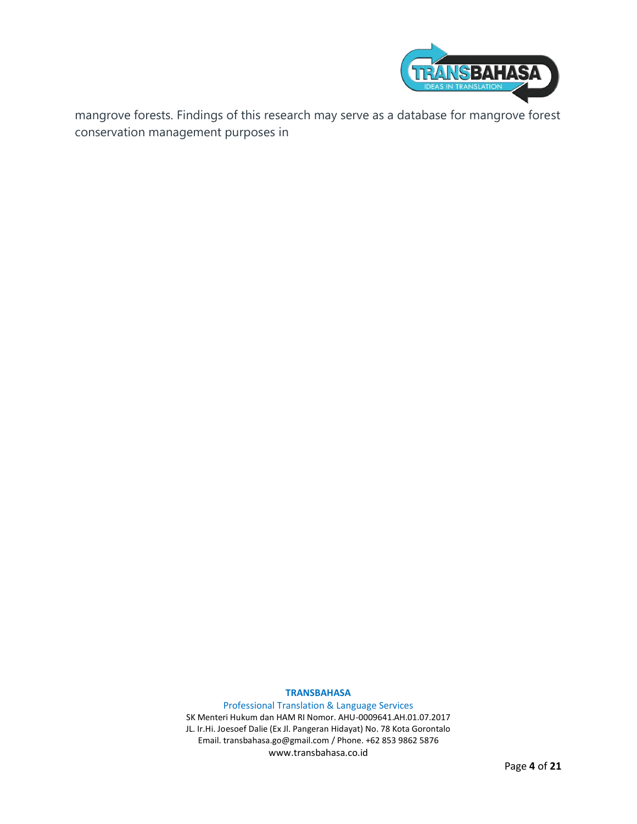

mangrove forests. Findings of this research may serve as a database for mangrove forest conservation management purposes in

#### **TRANSBAHASA**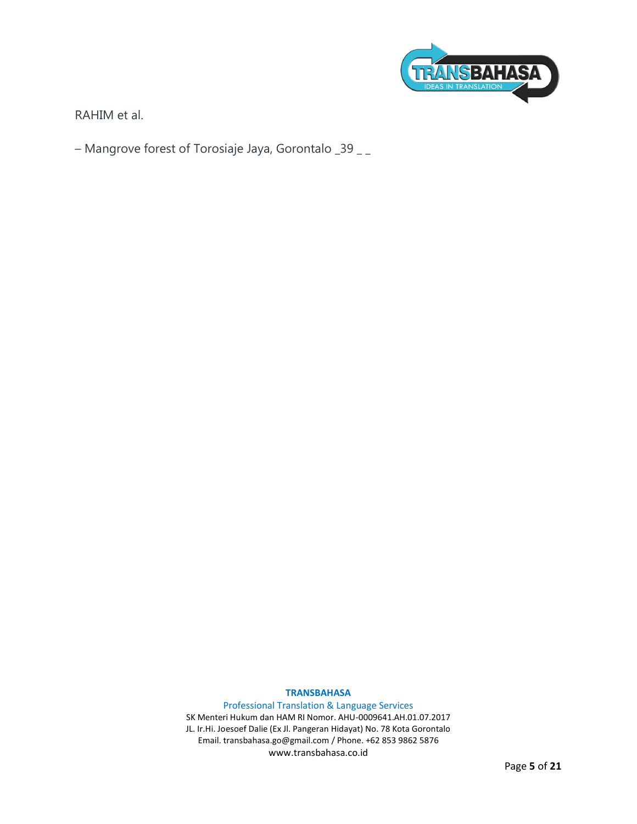

RAHIM et al.

– Mangrove forest of Torosiaje Jaya, Gorontalo \_39 \_ \_

#### **TRANSBAHASA**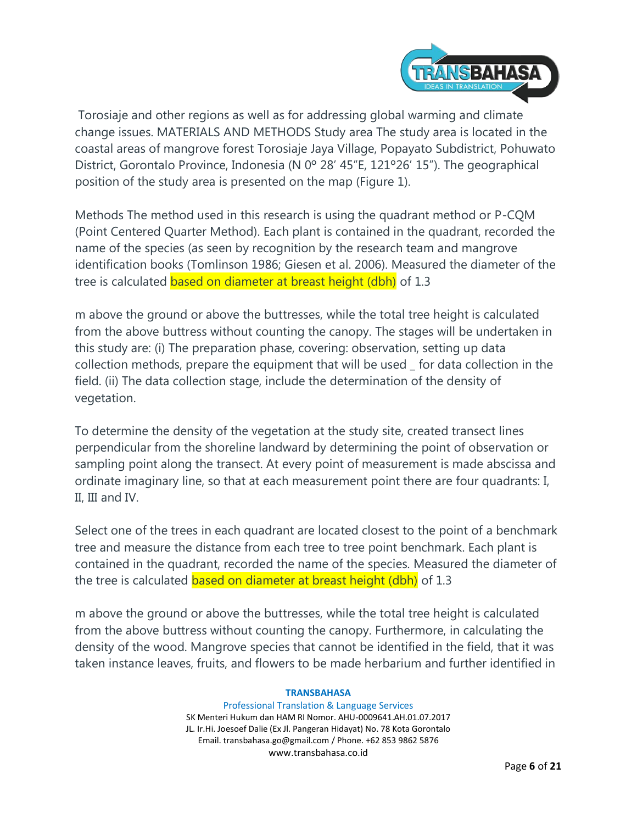

Torosiaje and other regions as well as for addressing global warming and climate change issues. MATERIALS AND METHODS Study area The study area is located in the coastal areas of mangrove forest Torosiaje Jaya Village, Popayato Subdistrict, Pohuwato District, Gorontalo Province, Indonesia (N 0° 28' 45"E, 121°26' 15"). The geographical position of the study area is presented on the map (Figure 1).

Methods The method used in this research is using the quadrant method or P-CQM (Point Centered Quarter Method). Each plant is contained in the quadrant, recorded the name of the species (as seen by recognition by the research team and mangrove identification books (Tomlinson 1986; Giesen et al. 2006). Measured the diameter of the tree is calculated based on diameter at breast height (dbh) of 1.3

m above the ground or above the buttresses, while the total tree height is calculated from the above buttress without counting the canopy. The stages will be undertaken in this study are: (i) The preparation phase, covering: observation, setting up data collection methods, prepare the equipment that will be used \_ for data collection in the field. (ii) The data collection stage, include the determination of the density of vegetation.

To determine the density of the vegetation at the study site, created transect lines perpendicular from the shoreline landward by determining the point of observation or sampling point along the transect. At every point of measurement is made abscissa and ordinate imaginary line, so that at each measurement point there are four quadrants: I, II, III and IV.

Select one of the trees in each quadrant are located closest to the point of a benchmark tree and measure the distance from each tree to tree point benchmark. Each plant is contained in the quadrant, recorded the name of the species. Measured the diameter of the tree is calculated **based on diameter at breast height (dbh)** of 1.3

m above the ground or above the buttresses, while the total tree height is calculated from the above buttress without counting the canopy. Furthermore, in calculating the density of the wood. Mangrove species that cannot be identified in the field, that it was taken instance leaves, fruits, and flowers to be made herbarium and further identified in

# **TRANSBAHASA**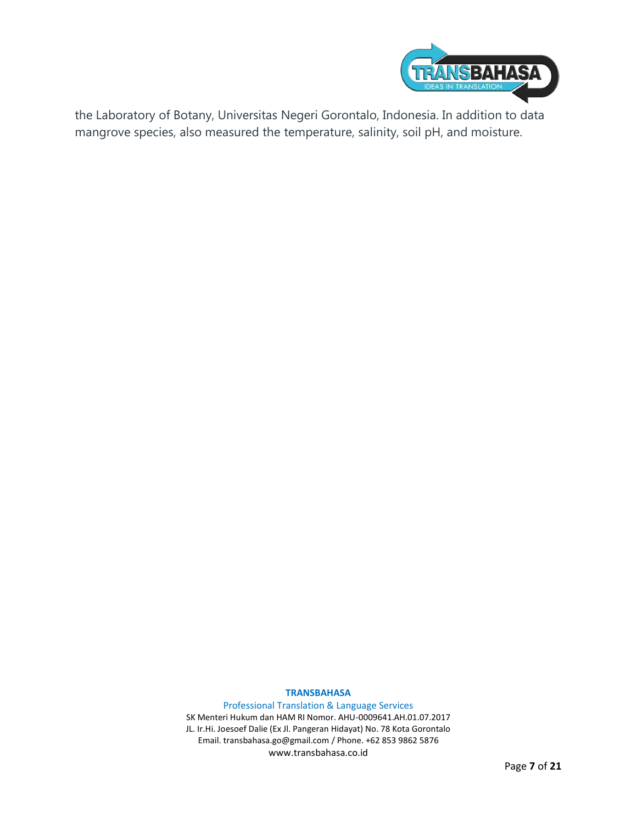

the Laboratory of Botany, Universitas Negeri Gorontalo, Indonesia. In addition to data mangrove species, also measured the temperature, salinity, soil pH, and moisture.

#### **TRANSBAHASA**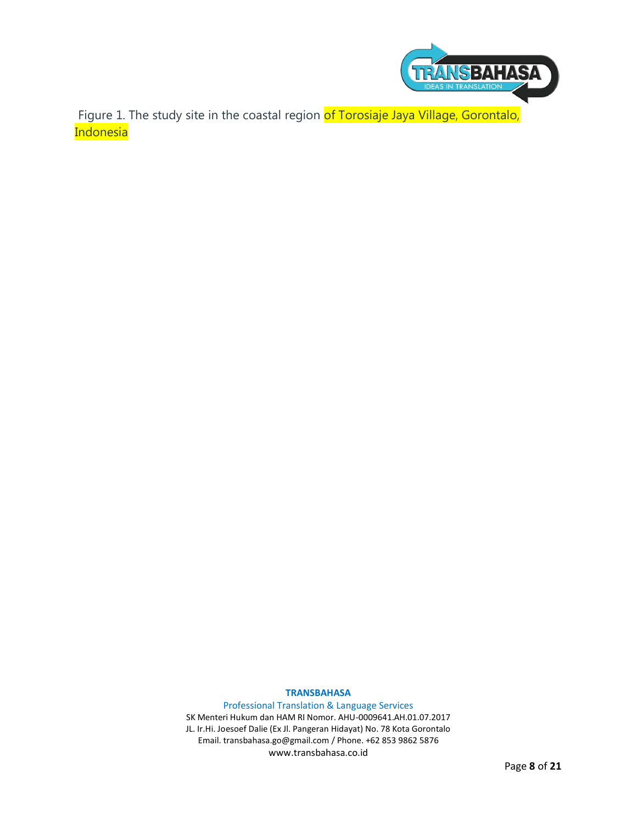

Figure 1. The study site in the coastal region of Torosiaje Jaya Village, Gorontalo, **Indonesia** 

#### **TRANSBAHASA**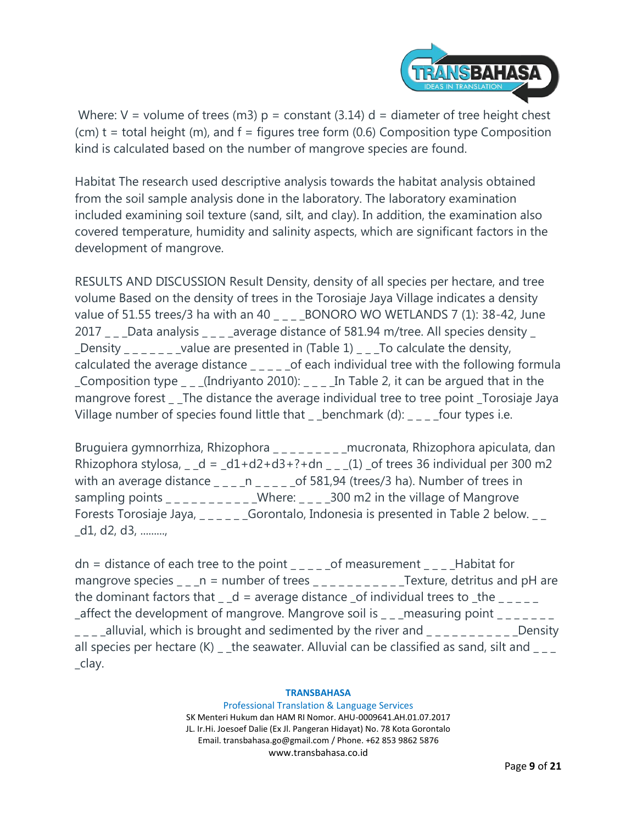

Where:  $V =$  volume of trees (m3)  $p =$  constant (3.14) d = diameter of tree height chest (cm)  $t =$  total height (m), and  $f =$  figures tree form (0.6) Composition type Composition kind is calculated based on the number of mangrove species are found.

Habitat The research used descriptive analysis towards the habitat analysis obtained from the soil sample analysis done in the laboratory. The laboratory examination included examining soil texture (sand, silt, and clay). In addition, the examination also covered temperature, humidity and salinity aspects, which are significant factors in the development of mangrove.

RESULTS AND DISCUSSION Result Density, density of all species per hectare, and tree volume Based on the density of trees in the Torosiaje Jaya Village indicates a density value of 51.55 trees/3 ha with an 40 \_ \_ \_ \_ \_ BONORO WO WETLANDS 7 (1): 38-42, June 2017 \_ \_ \_Data analysis \_ \_ \_ \_average distance of 581.94 m/tree. All species density \_ \_Density  $\frac{1}{2}$  \_ \_ \_ \_ \_ \_ value are presented in (Table 1)  $\frac{1}{2}$  \_ \_ To calculate the density, calculated the average distance  $\angle$   $\angle$   $\angle$   $\angle$  of each individual tree with the following formula  $\text{\_}$  Composition type  $\text{\_}$   $\text{\_}$  (Indriyanto 2010):  $\text{\_}$   $\text{\_}$  In Table 2, it can be argued that in the mangrove forest \_ \_The distance the average individual tree to tree point \_Torosiaje Jaya Village number of species found little that  $\angle$  benchmark (d):  $\angle$   $\angle$   $\angle$   $\angle$  four types i.e.

Bruguiera gymnorrhiza, Rhizophora \_\_\_\_\_\_\_\_\_mucronata, Rhizophora apiculata, dan Rhizophora stylosa,  $_d = d1+d2+d3+?+dn$   $_2(1)$  of trees 36 individual per 300 m2 with an average distance  $\frac{1}{2}$   $\frac{1}{2}$   $\frac{1}{2}$   $\frac{1}{2}$  =  $\frac{1}{2}$  of 581,94 (trees/3 ha). Number of trees in sampling points  $\frac{1}{2}$  =  $\frac{1}{2}$  =  $\frac{1}{2}$  =  $\frac{1}{2}$  Where:  $\frac{1}{2}$  =  $\frac{1}{2}$  300 m2 in the village of Mangrove Forests Torosiaje Jaya, \_\_\_\_\_\_Gorontalo, Indonesia is presented in Table 2 below. \_\_ \_d1, d2, d3, .........,

dn = distance of each tree to the point  $\angle$   $\angle$   $\angle$   $\angle$  =  $\angle$  measurement  $\angle$   $\angle$   $\angle$   $\angle$   $\angle$  Habitat for mangrove species  $\angle$  \_ \_n = number of trees  $\angle$  \_ \_ \_ \_ \_ \_ \_ \_ \_ \_ \_ Texture, detritus and pH are the dominant factors that  $-d =$  average distance  $\alpha$  individual trees to  $\alpha$  the  $\alpha$ \_affect the development of mangrove. Mangrove soil is  $\angle$  \_ \_ measuring point  $\angle$  \_ \_ \_ \_ \_ \_

 $\Box$  \_ \_ alluvial, which is brought and sedimented by the river and  $\Box$  \_ \_ \_ \_ \_ \_ \_ \_ \_ Density all species per hectare (K)  $\_$  the seawater. Alluvial can be classified as sand, silt and  $\_\_$ \_clay.

# **TRANSBAHASA**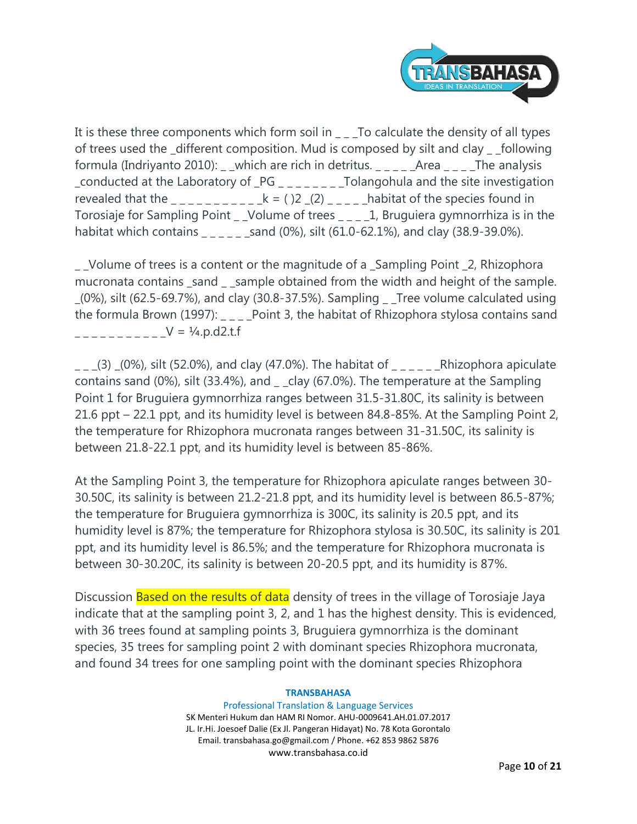

It is these three components which form soil in \_ \_ To calculate the density of all types of trees used the \_different composition. Mud is composed by silt and clay \_ \_following formula (Indriyanto 2010):  $\angle$  \_which are rich in detritus.  $\angle$  \_  $\angle$  \_ \_ \_\_ \_Area  $\angle$  \_ \_ \_\_ \_The analysis \_conducted at the Laboratory of \_PG \_ \_ \_ \_ \_ \_ \_ \_Tolangohula and the site investigation revealed that the  $\frac{1}{2}$   $\frac{1}{2}$   $\frac{1}{2}$   $\frac{1}{2}$   $\frac{1}{2}$   $\frac{1}{2}$   $\frac{1}{2}$   $\frac{1}{2}$   $\frac{1}{2}$  habitat of the species found in Torosiaje for Sampling Point \_ Volume of trees \_ \_ \_ \_ 1, Bruguiera gymnorrhiza is in the habitat which contains  $\frac{1}{2} - \frac{1}{2}$  sand (0%), silt (61.0-62.1%), and clay (38.9-39.0%).

Volume of trees is a content or the magnitude of a Sampling Point 2, Rhizophora mucronata contains \_sand \_ \_sample obtained from the width and height of the sample.  $(0\%)$ , silt (62.5-69.7%), and clay (30.8-37.5%). Sampling  $\_$  Tree volume calculated using the formula Brown (1997):  $\angle$   $\angle$   $\angle$  Point 3, the habitat of Rhizophora stylosa contains sand  $------V = 1/4. p.d2.t.f$ 

 $_{--}(3)$   $_{-}(0%)$ , silt (52.0%), and clay (47.0%). The habitat of  $_{---}$   $_{---}$  Rhizophora apiculate contains sand (0%), silt (33.4%), and \_ \_clay (67.0%). The temperature at the Sampling Point 1 for Bruguiera gymnorrhiza ranges between 31.5-31.80C, its salinity is between 21.6 ppt – 22.1 ppt, and its humidity level is between 84.8-85%. At the Sampling Point 2, the temperature for Rhizophora mucronata ranges between 31-31.50C, its salinity is between 21.8-22.1 ppt, and its humidity level is between 85-86%.

At the Sampling Point 3, the temperature for Rhizophora apiculate ranges between 30- 30.50C, its salinity is between 21.2-21.8 ppt, and its humidity level is between 86.5-87%; the temperature for Bruguiera gymnorrhiza is 300C, its salinity is 20.5 ppt, and its humidity level is 87%; the temperature for Rhizophora stylosa is 30.50C, its salinity is 201 ppt, and its humidity level is 86.5%; and the temperature for Rhizophora mucronata is between 30-30.20C, its salinity is between 20-20.5 ppt, and its humidity is 87%.

Discussion Based on the results of data density of trees in the village of Torosiaje Jaya indicate that at the sampling point 3, 2, and 1 has the highest density. This is evidenced, with 36 trees found at sampling points 3, Bruguiera gymnorrhiza is the dominant species, 35 trees for sampling point 2 with dominant species Rhizophora mucronata, and found 34 trees for one sampling point with the dominant species Rhizophora

# **TRANSBAHASA**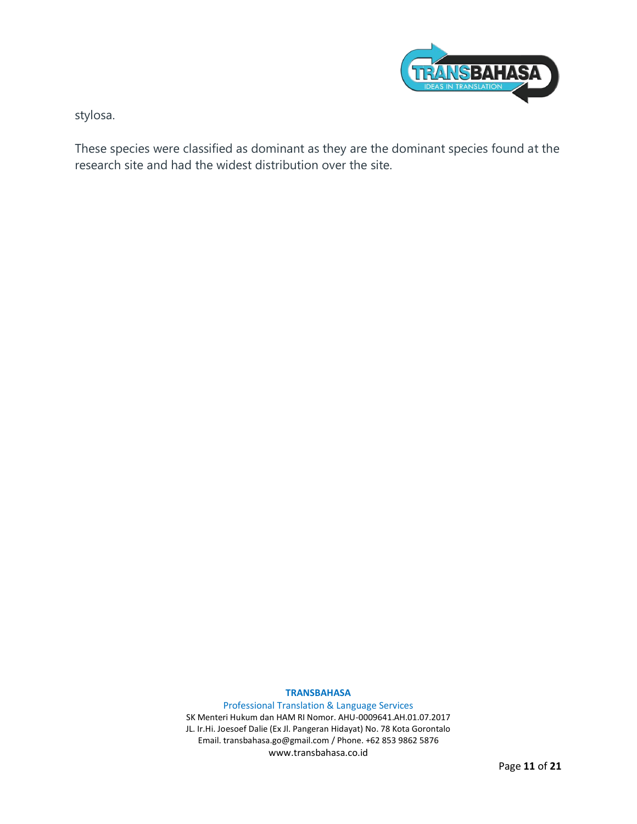

stylosa.

These species were classified as dominant as they are the dominant species found at the research site and had the widest distribution over the site.

# **TRANSBAHASA**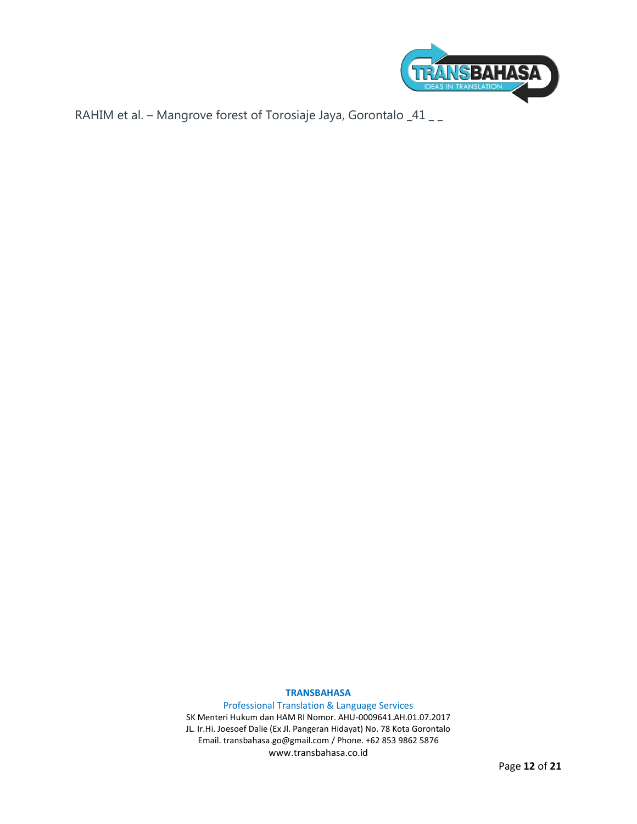

RAHIM et al. – Mangrove forest of Torosiaje Jaya, Gorontalo \_41 \_ \_

#### **TRANSBAHASA**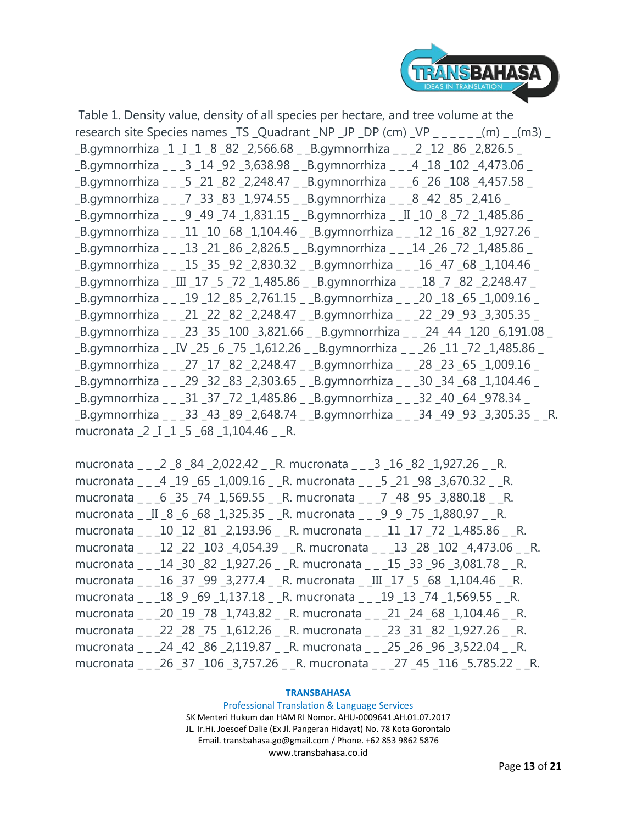

Table 1. Density value, density of all species per hectare, and tree volume at the research site Species names \_TS \_Quadrant \_NP \_JP \_DP (cm) \_VP \_ \_ \_ \_ \_ (m) \_ (m3) \_ \_B.gymnorrhiza \_1 \_I \_1 \_8 \_82 \_2,566.68 \_ \_B.gymnorrhiza \_ \_ \_2 \_12 \_86 \_2,826.5 \_ \_B.gymnorrhiza \_ \_ \_3 \_14 \_92 \_3,638.98 \_ \_B.gymnorrhiza \_ \_ \_4 \_18 \_102 \_4,473.06 \_ \_B.gymnorrhiza \_ \_ \_5 \_21 \_82 \_2,248.47 \_ \_B.gymnorrhiza \_ \_ \_6 \_26 \_108 \_4,457.58 \_ \_B.gymnorrhiza \_ \_ \_7 \_33 \_83 \_1,974.55 \_ \_B.gymnorrhiza \_ \_ \_8 \_42 \_85 \_2,416 \_ \_B.gymnorrhiza \_ \_ \_9 \_49 \_74 \_1,831.15 \_ \_B.gymnorrhiza \_ \_II \_10 \_8 \_72 \_1,485.86 \_ \_B.gymnorrhiza \_ \_ \_11 \_10 \_68 \_1,104.46 \_ \_B.gymnorrhiza \_ \_ \_12 \_16 \_82 \_1,927.26 \_ \_B.gymnorrhiza \_ \_ \_13 \_21 \_86 \_2,826.5 \_ \_B.gymnorrhiza \_ \_ \_14 \_26 \_72 \_1,485.86 \_ \_B.gymnorrhiza \_ \_ \_15 \_35 \_92 \_2,830.32 \_ \_B.gymnorrhiza \_ \_ \_16 \_47 \_68 \_1,104.46 \_ \_B.gymnorrhiza \_ \_III \_17 \_5 \_72 \_1,485.86 \_ \_B.gymnorrhiza \_ \_ \_18 \_7 \_82 \_2,248.47 \_ \_B.gymnorrhiza \_ \_ \_19 \_12 \_85 \_2,761.15 \_ \_B.gymnorrhiza \_ \_ \_20 \_18 \_65 \_1,009.16 \_ \_B.gymnorrhiza \_ \_ \_21 \_22 \_82 \_2,248.47 \_ \_B.gymnorrhiza \_ \_ \_22 \_29 \_93 \_3,305.35 \_ \_B.gymnorrhiza \_ \_ \_23 \_35 \_100 \_3,821.66 \_ \_B.gymnorrhiza \_ \_ \_24 \_44 \_120 \_6,191.08 \_ \_B.gymnorrhiza \_ \_IV \_25 \_6 \_75 \_1,612.26 \_ \_B.gymnorrhiza \_ \_ \_26 \_11 \_72 \_1,485.86 \_ \_B.gymnorrhiza \_ \_ \_27 \_17 \_82 \_2,248.47 \_ \_B.gymnorrhiza \_ \_ \_28 \_23 \_65 \_1,009.16 \_ \_B.gymnorrhiza \_ \_ \_29 \_32 \_83 \_2,303.65 \_ \_B.gymnorrhiza \_ \_ \_30 \_34 \_68 \_1,104.46 \_ \_B.gymnorrhiza \_ \_ \_31 \_37 \_72 \_1,485.86 \_ \_B.gymnorrhiza \_ \_ \_32 \_40 \_64 \_978.34 \_ \_B.gymnorrhiza \_ \_ \_33 \_43 \_89 \_2,648.74 \_ \_B.gymnorrhiza \_ \_ \_34 \_49 \_93 \_3,305.35 \_ \_R. mucronata 2 I 1 5 68 1,104.46 R.

mucronata \_ \_ \_2 \_8 \_84 \_2,022.42 \_ \_R. mucronata \_ \_ \_3 \_16 \_82 \_1,927.26 \_ \_R. mucronata \_ \_ \_4 \_19 \_65 \_1,009.16 \_ \_R. mucronata \_ \_ \_5 \_21 \_98 \_3,670.32 \_ \_R. mucronata \_ \_ \_6 \_35 \_74 \_1,569.55 \_ \_R. mucronata \_ \_ \_7 \_48 \_95 \_3,880.18 \_ \_R. mucronata \_ \_II \_8 \_6 \_68 \_1,325.35 \_ \_R. mucronata \_ \_ \_9 \_9 \_75 \_1,880.97 \_ \_R. mucronata \_ \_ 10 \_ 12 \_ 81 \_ 2,193.96 \_ \_ R. mucronata \_ \_ \_ 11 \_ 17 \_ 72 \_ 1,485.86 \_ \_ R. mucronata \_ \_ \_12 \_22 \_103 \_4,054.39 \_ \_R. mucronata \_ \_ \_13 \_28 \_102 \_4,473.06 \_ \_R. mucronata \_ \_ \_14 \_30 \_82 \_1,927.26 \_ \_R. mucronata \_ \_ \_15 \_33 \_96 \_3,081.78 \_ \_R. mucronata \_ \_ 16 \_37 \_99 \_3,277.4 \_ \_ R. mucronata \_ \_ III \_ 17 \_ 5 \_ 68 \_ 1,104.46 \_ \_ R. mucronata \_ \_ \_18 \_9 \_69 \_1,137.18 \_ \_R. mucronata \_ \_ \_19 \_13 \_74 \_1,569.55 \_ \_R. mucronata \_ \_ \_20 \_19 \_78 \_1,743.82 \_ \_R. mucronata \_ \_ \_21 \_24 \_68 \_1,104.46 \_ \_R. mucronata \_ \_ \_22 \_28 \_75 \_1,612.26 \_ \_R. mucronata \_ \_ \_23 \_31 \_82 \_1,927.26 \_ \_R. mucronata \_ \_ 24 \_ 42 \_ 86 \_ 2,119.87 \_ \_ R. mucronata \_ \_ \_ 25 \_ 26 \_ 96 \_ 3,522.04 \_ \_ R. mucronata \_ \_ \_26 \_37 \_106 \_3,757.26 \_ \_R. mucronata \_ \_ \_27 \_45 \_116 \_5.785.22 \_ \_R.

#### **TRANSBAHASA**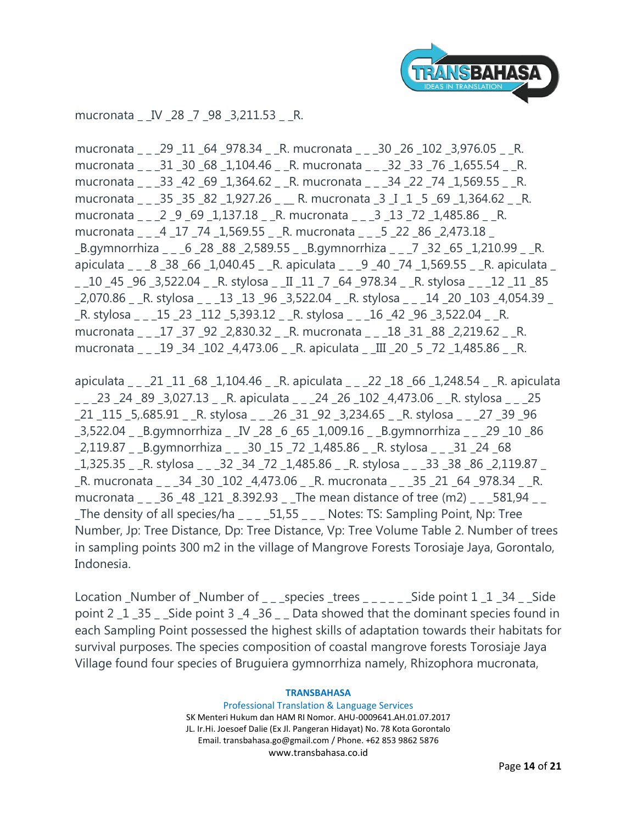

# mucronata \_ \_IV \_28 \_7 \_98 \_3,211.53 \_ \_R.

mucronata \_ \_ \_29 \_11 \_64 \_978.34 \_ \_R. mucronata \_ \_ \_30 \_26 \_102 \_3,976.05 \_ \_R. mucronata \_ \_ \_31 \_30 \_68 \_1,104.46 \_ \_R. mucronata \_ \_ \_32 \_33 \_76 \_1,655.54 \_ \_R. mucronata \_ \_ \_33 \_42 \_69 \_1,364.62 \_ \_R. mucronata \_ \_ \_34 \_22 \_74 \_1,569.55 \_ \_R. mucronata \_ \_ \_35 \_35 \_82 \_1,927.26 \_ \_ R. mucronata \_3 \_I \_1 \_5 \_69 \_1,364.62 \_ \_R. mucronata \_ \_ \_2 \_9 \_69 \_1,137.18 \_ \_R. mucronata \_ \_ \_3 \_13 \_72 \_1,485.86 \_ \_R. mucronata \_ \_ 4 \_17 \_74 \_1,569.55 \_ R. mucronata \_ \_ \_5 \_22 \_86 \_2,473.18 \_ B.gymnorrhiza  $\overline{6}$  28 88 2,589.55 B.gymnorrhiza  $\overline{7}$  32 65 1,210.99 R. apiculata di 8 38 66 1,040.45 R. apiculata di 9 40 74 1,569.55 R. apiculata \_ \_10 \_45 \_96 \_3,522.04 \_ \_R. stylosa \_ \_II \_11 \_7 \_64 \_978.34 \_ \_R. stylosa \_ \_ \_12 \_11 \_85 \_2,070.86 \_ \_R. stylosa \_ \_ \_13 \_13 \_96 \_3,522.04 \_ \_R. stylosa \_ \_ \_14 \_20 \_103 \_4,054.39 \_ R. stylosa  $15$  23  $112$  5,393.12 R. stylosa  $16$  42 96 3,522.04 R. mucronata \_ \_ \_17 \_37 \_92 \_2,830.32 \_ \_R. mucronata \_ \_ \_18 \_31 \_88 \_2,219.62 \_ \_R. mucronata \_ \_ \_19 \_34 \_102 \_4,473.06 \_ \_R. apiculata \_ \_III \_20 \_5 \_72 \_1,485.86 \_ \_R.

apiculata 21 11 68 1,104.46 R. apiculata 22 18 66 1,248.54 R. apiculata \_ \_ \_23 \_24 \_89 \_3,027.13 \_ \_R. apiculata \_ \_ \_24 \_26 \_102 \_4,473.06 \_ \_R. stylosa \_ \_ \_25 \_21 \_115 \_5,.685.91 \_ \_R. stylosa \_ \_ \_26 \_31 \_92 \_3,234.65 \_ \_R. stylosa \_ \_ \_27 \_39 \_96 \_3,522.04 \_ \_B.gymnorrhiza \_ \_IV \_28 \_6 \_65 \_1,009.16 \_ \_B.gymnorrhiza \_ \_ \_29 \_10 \_86 \_2,119.87 \_ \_B.gymnorrhiza \_ \_ \_30 \_15 \_72 \_1,485.86 \_ \_R. stylosa \_ \_ \_31 \_24 \_68 \_1,325.35 \_ \_R. stylosa \_ \_ \_32 \_34 \_72 \_1,485.86 \_ \_R. stylosa \_ \_ \_33 \_38 \_86 \_2,119.87 \_ \_R. mucronata \_ \_ \_34 \_30 \_102 \_4,473.06 \_ \_R. mucronata \_ \_ \_35 \_21 \_64 \_978.34 \_ \_R. mucronata \_ \_ \_36 \_48 \_121 \_8.392.93 \_ \_The mean distance of tree (m2) \_ \_ \_581,94 \_ \_ \_The density of all species/ha  $\angle$  \_  $\angle$  \_ 51,55  $\angle$  \_  $\angle$  Notes: TS: Sampling Point, Np: Tree Number, Jp: Tree Distance, Dp: Tree Distance, Vp: Tree Volume Table 2. Number of trees in sampling points 300 m2 in the village of Mangrove Forests Torosiaje Jaya, Gorontalo, Indonesia.

Location \_Number of \_Number of \_ \_ \_ \_ \_ \_ \_ pecies \_ trees \_ \_ \_ \_ \_ \_ \_ \_ Side point 1 \_1 \_34 \_ \_ Side point 2  $\,$  1  $\,$  35  $\,$  Side point 3  $\,$  4  $\,$  36  $\,$  Data showed that the dominant species found in each Sampling Point possessed the highest skills of adaptation towards their habitats for survival purposes. The species composition of coastal mangrove forests Torosiaje Jaya Village found four species of Bruguiera gymnorrhiza namely, Rhizophora mucronata,

# **TRANSBAHASA**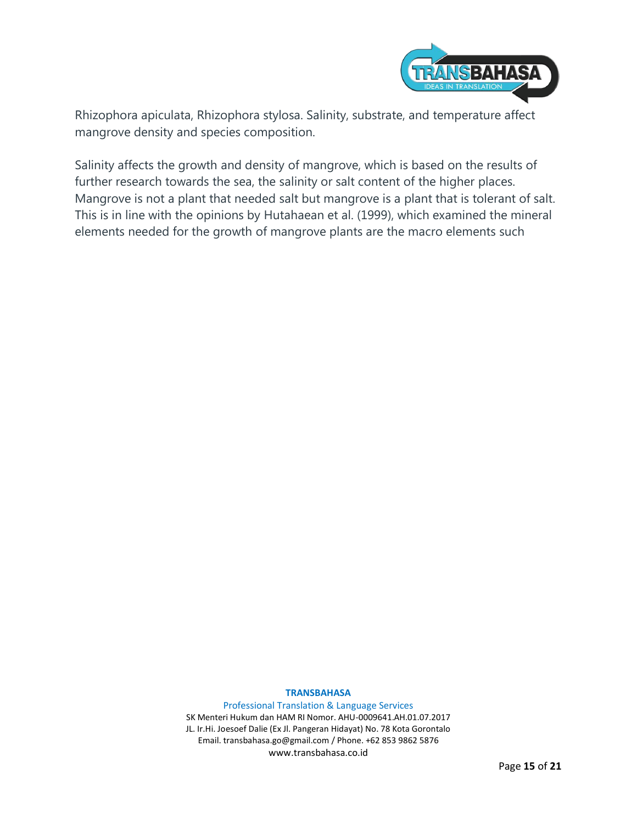

Rhizophora apiculata, Rhizophora stylosa. Salinity, substrate, and temperature affect mangrove density and species composition.

Salinity affects the growth and density of mangrove, which is based on the results of further research towards the sea, the salinity or salt content of the higher places. Mangrove is not a plant that needed salt but mangrove is a plant that is tolerant of salt. This is in line with the opinions by Hutahaean et al. (1999), which examined the mineral elements needed for the growth of mangrove plants are the macro elements such

#### **TRANSBAHASA**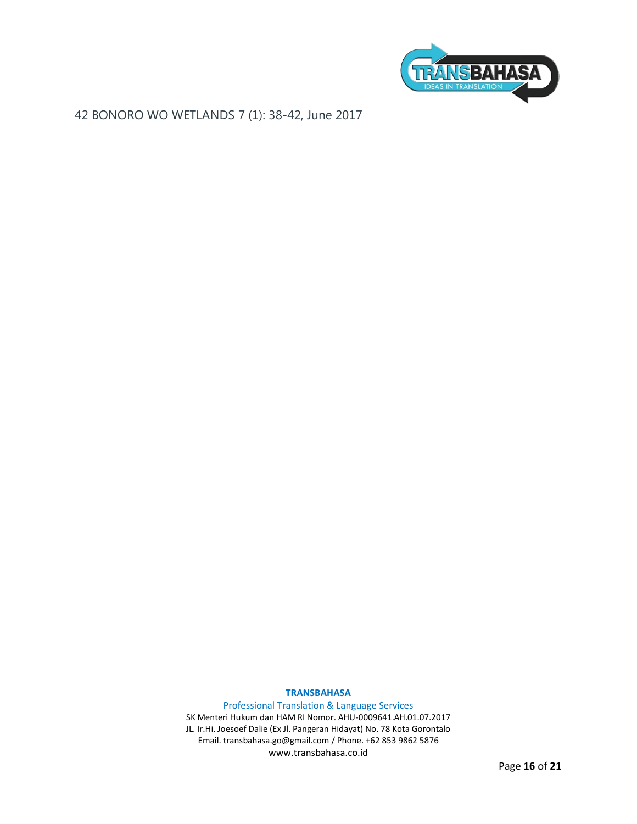

42 BONORO WO WETLANDS 7 (1): 38-42, June 2017

#### **TRANSBAHASA**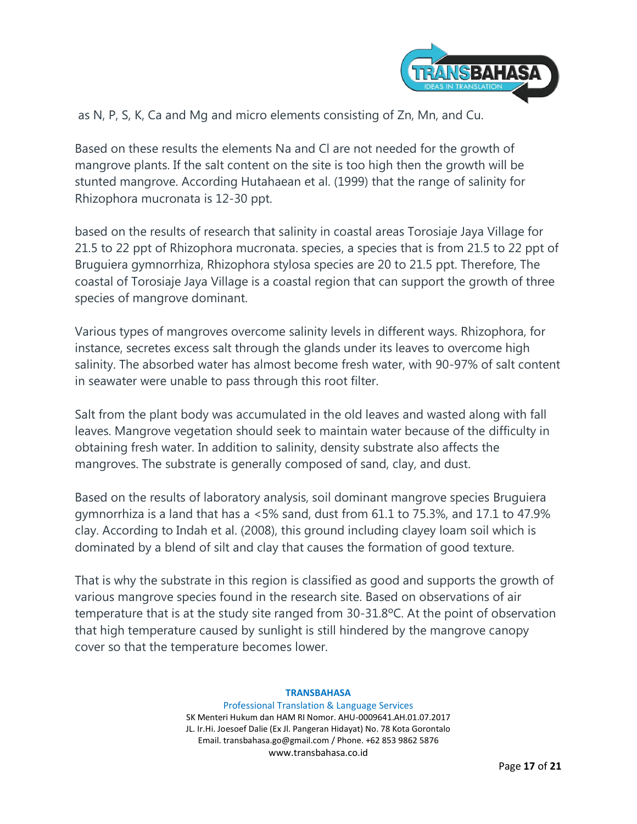

as N, P, S, K, Ca and Mg and micro elements consisting of Zn, Mn, and Cu.

Based on these results the elements Na and Cl are not needed for the growth of mangrove plants. If the salt content on the site is too high then the growth will be stunted mangrove. According Hutahaean et al. (1999) that the range of salinity for Rhizophora mucronata is 12-30 ppt.

based on the results of research that salinity in coastal areas Torosiaje Jaya Village for 21.5 to 22 ppt of Rhizophora mucronata. species, a species that is from 21.5 to 22 ppt of Bruguiera gymnorrhiza, Rhizophora stylosa species are 20 to 21.5 ppt. Therefore, The coastal of Torosiaje Jaya Village is a coastal region that can support the growth of three species of mangrove dominant.

Various types of mangroves overcome salinity levels in different ways. Rhizophora, for instance, secretes excess salt through the glands under its leaves to overcome high salinity. The absorbed water has almost become fresh water, with 90-97% of salt content in seawater were unable to pass through this root filter.

Salt from the plant body was accumulated in the old leaves and wasted along with fall leaves. Mangrove vegetation should seek to maintain water because of the difficulty in obtaining fresh water. In addition to salinity, density substrate also affects the mangroves. The substrate is generally composed of sand, clay, and dust.

Based on the results of laboratory analysis, soil dominant mangrove species Bruguiera gymnorrhiza is a land that has a <5% sand, dust from 61.1 to 75.3%, and 17.1 to 47.9% clay. According to Indah et al. (2008), this ground including clayey loam soil which is dominated by a blend of silt and clay that causes the formation of good texture.

That is why the substrate in this region is classified as good and supports the growth of various mangrove species found in the research site. Based on observations of air temperature that is at the study site ranged from 30-31.8ºC. At the point of observation that high temperature caused by sunlight is still hindered by the mangrove canopy cover so that the temperature becomes lower.

# **TRANSBAHASA**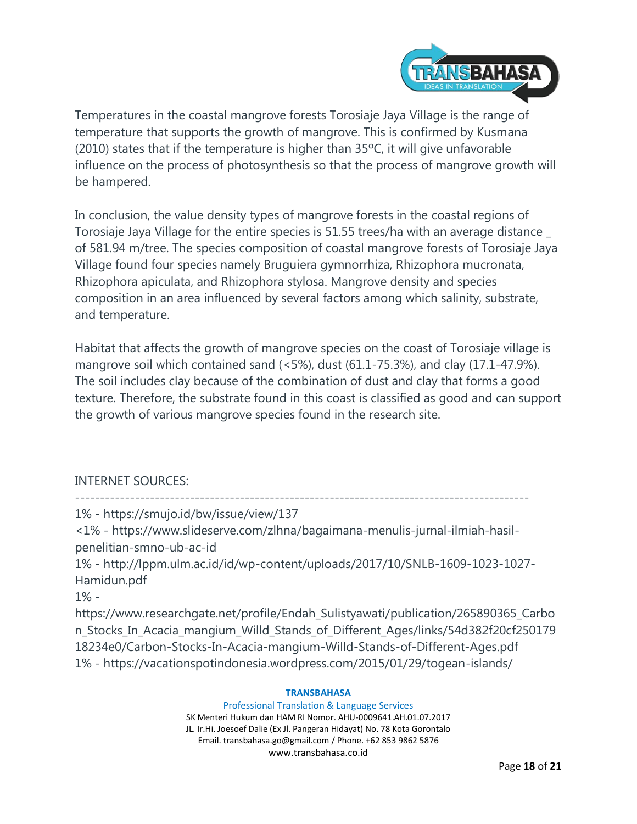

Temperatures in the coastal mangrove forests Torosiaje Jaya Village is the range of temperature that supports the growth of mangrove. This is confirmed by Kusmana (2010) states that if the temperature is higher than 35ºC, it will give unfavorable influence on the process of photosynthesis so that the process of mangrove growth will be hampered.

In conclusion, the value density types of mangrove forests in the coastal regions of Torosiaje Jaya Village for the entire species is 51.55 trees/ha with an average distance \_ of 581.94 m/tree. The species composition of coastal mangrove forests of Torosiaje Jaya Village found four species namely Bruguiera gymnorrhiza, Rhizophora mucronata, Rhizophora apiculata, and Rhizophora stylosa. Mangrove density and species composition in an area influenced by several factors among which salinity, substrate, and temperature.

Habitat that affects the growth of mangrove species on the coast of Torosiaje village is mangrove soil which contained sand (<5%), dust (61.1-75.3%), and clay (17.1-47.9%). The soil includes clay because of the combination of dust and clay that forms a good texture. Therefore, the substrate found in this coast is classified as good and can support the growth of various mangrove species found in the research site.

# INTERNET SOURCES:

------------------------------------------------------------------------------------------- 1% - https://smujo.id/bw/issue/view/137 <1% - https://www.slideserve.com/zlhna/bagaimana-menulis-jurnal-ilmiah-hasilpenelitian-smno-ub-ac-id 1% - http://lppm.ulm.ac.id/id/wp-content/uploads/2017/10/SNLB-1609-1023-1027- Hamidun.pdf 1% https://www.researchgate.net/profile/Endah\_Sulistyawati/publication/265890365\_Carbo n\_Stocks\_In\_Acacia\_mangium\_Willd\_Stands\_of\_Different\_Ages/links/54d382f20cf250179 18234e0/Carbon-Stocks-In-Acacia-mangium-Willd-Stands-of-Different-Ages.pdf 1% - https://vacationspotindonesia.wordpress.com/2015/01/29/togean-islands/

# **TRANSBAHASA**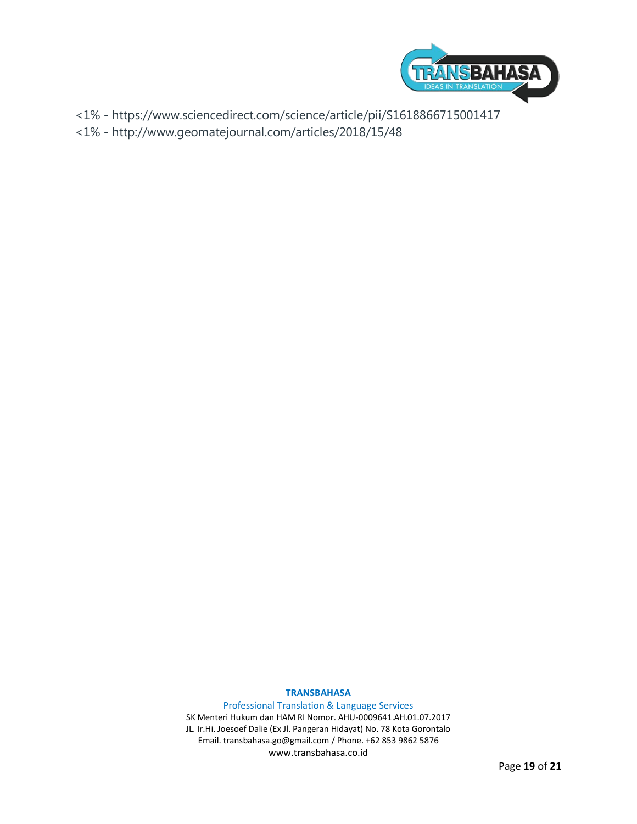

- <1% https://www.sciencedirect.com/science/article/pii/S1618866715001417
- <1% http://www.geomatejournal.com/articles/2018/15/48

#### **TRANSBAHASA**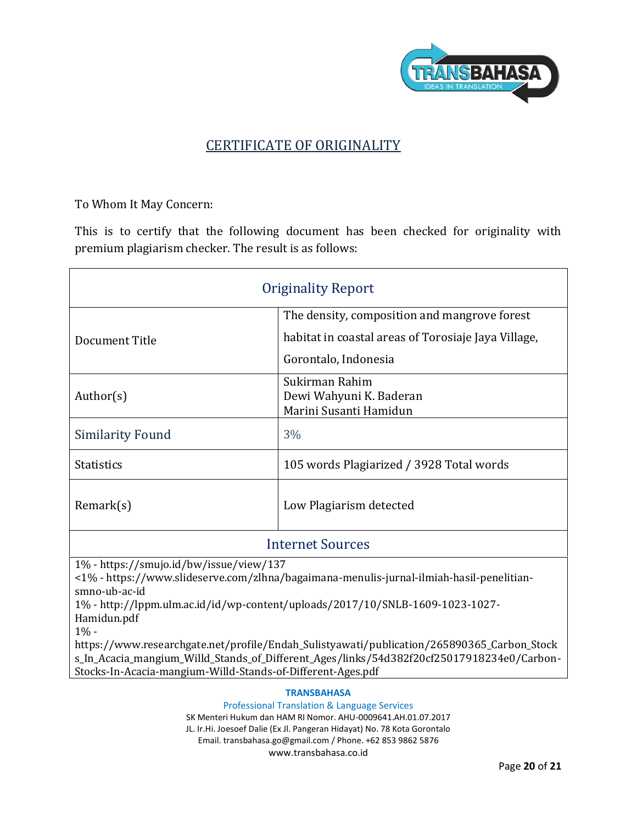

# CERTIFICATE OF ORIGINALITY

To Whom It May Concern:

This is to certify that the following document has been checked for originality with premium plagiarism checker. The result is as follows:

| <b>Originality Report</b>                                                                                                                                                                                                                                                                                                                                     |                                                                     |
|---------------------------------------------------------------------------------------------------------------------------------------------------------------------------------------------------------------------------------------------------------------------------------------------------------------------------------------------------------------|---------------------------------------------------------------------|
|                                                                                                                                                                                                                                                                                                                                                               | The density, composition and mangrove forest                        |
| Document Title                                                                                                                                                                                                                                                                                                                                                | habitat in coastal areas of Torosiaje Jaya Village,                 |
|                                                                                                                                                                                                                                                                                                                                                               | Gorontalo, Indonesia                                                |
| Author(s)                                                                                                                                                                                                                                                                                                                                                     | Sukirman Rahim<br>Dewi Wahyuni K. Baderan<br>Marini Susanti Hamidun |
| <b>Similarity Found</b>                                                                                                                                                                                                                                                                                                                                       | 3%                                                                  |
| <b>Statistics</b>                                                                                                                                                                                                                                                                                                                                             | 105 words Plagiarized / 3928 Total words                            |
| Remark(s)                                                                                                                                                                                                                                                                                                                                                     | Low Plagiarism detected                                             |
| <b>Internet Sources</b>                                                                                                                                                                                                                                                                                                                                       |                                                                     |
| 1% - https://smujo.id/bw/issue/view/137<br><1% - https://www.slideserve.com/zlhna/bagaimana-menulis-jurnal-ilmiah-hasil-penelitian-<br>smno-ub-ac-id<br>1% - http://lppm.ulm.ac.id/id/wp-content/uploads/2017/10/SNLB-1609-1023-1027-<br>Hamidun.pdf<br>$1\%$ -<br>https://www.researchgate.net/profile/Endah_Sulistyawati/publication/265890365_Carbon_Stock |                                                                     |
| s_In_Acacia_mangium_Willd_Stands_of_Different_Ages/links/54d382f20cf25017918234e0/Carbon-<br>Stocks-In-Acacia-mangium-Willd-Stands-of-Different-Ages.pdf                                                                                                                                                                                                      |                                                                     |

# **TRANSBAHASA**